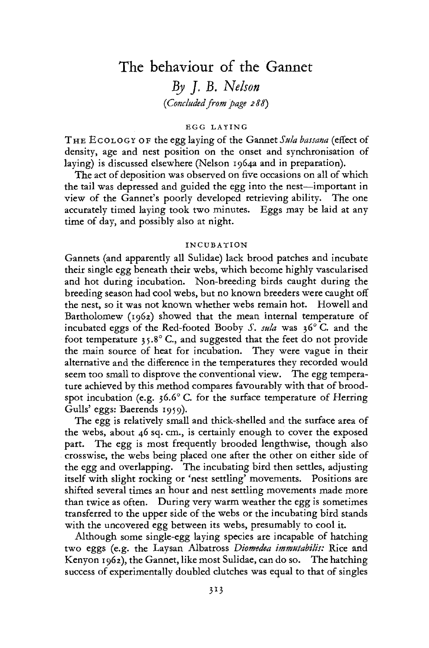# The behaviour of the Gannet

*By J. B. Nelson (Concluded from page 2 88)* 

### EGG LAYING

THE ECOLOGY OF the egg laying of the Gannet Sula bassana (effect of density, age and nest position on the onset and synchronisation of laying) is discussed elsewhere (Nelson 1964a and in preparation).

The act of deposition was observed on five occasions on all of which the tail was depressed and guided the egg into the nest—important in view of the Gannet's poorly developed retrieving ability. The one accurately timed laying took two minutes. Eggs may be laid at any time of day, and possibly also at night.

#### INCUBATION

Gannets (and apparently all Sulidae) lack brood patches and incubate their single egg beneath their webs, which become highly vascularised and hot during incubation. Non-breeding birds caught during the breeding season had cool webs, but no known breeders were caught off the nest, so it was not known whether webs remain hot. Howell and Bartholomew (1962) showed that the mean internal temperature of incubated eggs of the Red-footed Booby *S. sula* was 36° C. and the foot temperature  $35.8^{\circ}$  C., and suggested that the feet do not provide the main source of heat for incubation. They were vague in their alternative and the difference in the temperatures they recorded would seem too small to disprove the conventional view. The egg temperature achieved by this method compares favourably with that of broodspot incubation (e.g.  $36.6^{\circ}$  C. for the surface temperature of Herring Gulls' eggs: Baerends 1959).

The egg is relatively small and thick-shelled and the surface area of the webs, about 46 sq. cm., is certainly enough to cover the exposed part. The egg is most frequently brooded lengthwise, though also crosswise, the webs being placed one after the other on either side of the egg and overlapping. The incubating bird then settles, adjusting itself with slight rocking or 'nest settling' movements. Positions are shifted several times an hour and nest settling movements made more than twice as often. During very warm weather the egg is sometimes transferred to the upper side of the webs or the incubating bird stands with the uncovered egg between its webs, presumably to cool it.

Although some single-egg laying species are incapable of hatching two eggs (e.g. the Laysan Albatross *Diomedea immutabilis:* Rice and Kenyon 1962), the Gannet, like most Sulidae, can do so. The hatching success of experimentally doubled clutches was equal to that of singles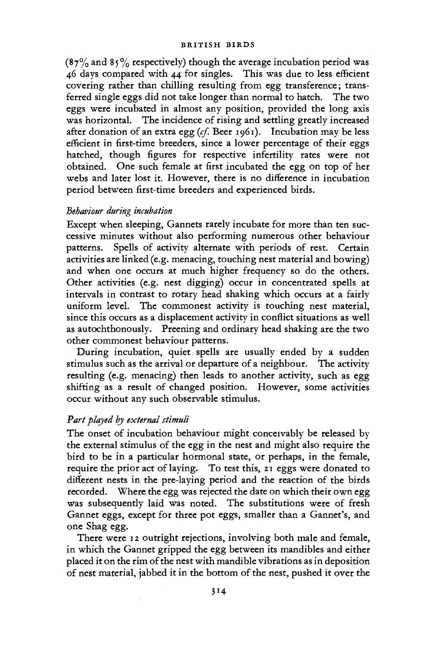(87% and 85% respectively) though the average incubation period was 46 days compared with 44 for singles. This was due to less efficient covering rather than chilling resulting from egg transference; transferred single eggs did not take longer than normal to hatch. The two eggs were incubated in almost any position, provided the long axis was horizontal. The incidence of rising and settling greatly increased after donation of an extra egg *(cf.* Beer 1961). Incubation may be less efficient in first-time breeders, since a lower percentage of their eggs hatched, though figures for respective infertility rates were not obtained. One such female at first incubated the egg on top of her webs and later lost it. However, there is no difference in incubation period between first-time breeders and experienced birds.

# *Behaviour during incubation*

Except when sleeping, Gannets rarely incubate for more than ten successive minutes without also performing numerous other behaviour patterns. Spells of activity alternate with periods of rest. Certain activities are linked (e.g. menacing, touching nest material and bowing) and when one occurs at much higher frequency so do the others. Other activities (e.g. nest digging) occur in concentrated spells at intervals in contrast to rotary head shaking which occurs at a fairly uniform level. The commonest activity is touching nest material, since this occurs as a displacement activity in conflict situations as well as autochthonously. Preening and ordinary head shaking are the two other commonest behaviour patterns.

During incubation, quiet spells are usually ended by a sudden stimulus such as the arrival or departure of a neighbour. The activity resulting (e.g. menacing) then leads to another activity, such as egg shifting as a result of changed position. However, some activities occur without any such observable stimulus.

# *Part played by external stimuli*

The onset of incubation behaviour might conceivably be released by the external stimulus of the egg in the nest and might also require the bird to be in a particular hormonal state, or perhaps, in the female, require the prior act of laying. To test this, 21 eggs were donated to different nests in the pre-laying period and the reaction of the birds recorded. Where the egg was rejected the date on which their own egg was subsequently laid was noted. The substitutions were of fresh Gannet eggs, except for three pot eggs, smaller than a Gannet's, and one Shag egg.

There were 12 outright rejections, involving both male and female, in which the Gannet gripped the egg between its mandibles and either placed it on the rim of the nest with mandible vibrations as in deposition of nest material, jabbed it in the bottom of the nest, pushed it over the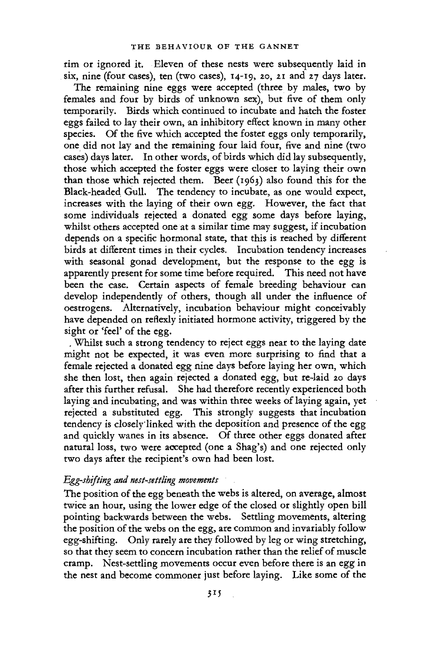rim or ignored it. Eleven of these nests were subsequently laid in six, nine (four cases), ten (two cases), 14-19, 20, 21 and 27 days later.

The remaining nine eggs were accepted (three by males, two by females and four by birds of unknown sex), but five of them only temporarily. Birds which continued to incubate and hatch the foster eggs failed to lay their own, an inhibitory effect known in many other species. Of the five which accepted the foster eggs only temporarily, one did not lay and the remaining four laid four, five and nine (two cases) days later. In other words, of birds which did lay subsequently, those which accepted the foster eggs were closer to laying their own than those which rejected them. Beer  $(1963)$  also found this for the Black-headed Gull. The tendency to incubate, as one would expect, increases with the laying of their own egg. However, the fact that some individuals rejected a donated egg some days before laying, whilst others accepted one at a similar time may suggest, if incubation depends on a specific hormonal state, that this is reached by different birds at different times in their cycles. Incubation tendency increases with seasonal gonad development, but the response to the egg is apparently present for some time before required. This need not have been the case. Certain aspects of female breeding behaviour can develop independently of others, though all under the influence of oestrogens. Alternatively, incubation behaviour might conceivably have depended on reflexly initiated hormone activity, triggered by the sight or 'feel' of the egg.

. Whilst such a strong tendency to reject eggs near to the laying date might not be expected, it was even more surprising to find that a female rejected a donated egg nine days before laying her own, which she then lost, then again rejected a donated egg, but re-laid 20 days after this further refusal. She had therefore recently experienced both laying and incubating, and was within three weeks of laying again, yet rejected a substituted egg. This strongly suggests that incubation tendency is closely'linked with the deposition and presence of the egg and quickly wanes in its absence. Of three other eggs donated after natural loss, two were accepted (one a Shag's) and one rejected only two days after the recipient's own had been lost.

### *Egg-shifting and nest-settling movements*

The position of the egg beneath the webs is altered, on average, almost twice an hour, using the lower edge of the closed or slightly open bill pointing backwards between the webs. Settling movements, altering the position of the webs on the egg, are common and invariably follow egg-shifting. Only rarely are they followed by leg or wing stretching, so that they seem to concern incubation rather than the relief of muscle cramp. Nest-settling movements occur even before there is an egg in the nest and become commoner just before laying. Like some of the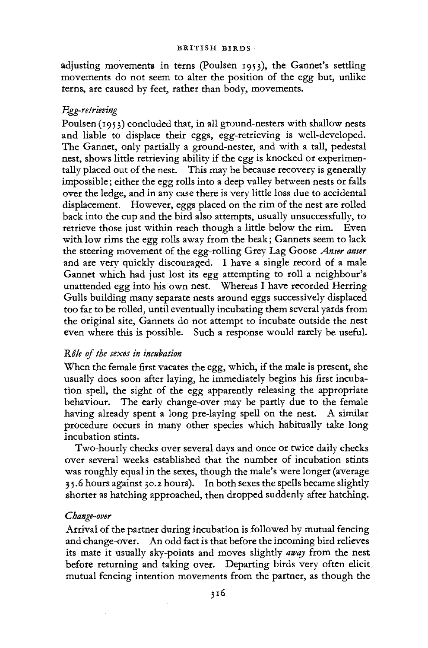adjusting movements in terns (Poulsen 1953), the Gannet's settling movements do not seem to alter the position of the egg but, unlike terns, are caused by feet, rather than body, movements.

# *Egg-retrieving*

Poulsen (1953) concluded that, in all ground-nesters with shallow nests and liable to displace their eggs, egg-retrieving is well-developed. The Gannet, only partially a ground-nester, and with a tall, pedestal nest, shows little retrieving ability if the egg is knocked or experimentally placed out of the nest. This may be because recovery is generally impossible; either the egg rolls into a deep valley between nests or falls over the ledge, and in any case there is very little loss due to accidental displacement. However, eggs placed on the rim of the nest are rolled back into the cup and the bird also attempts, usually unsuccessfully, to retrieve those just within reach though a little below the rim. Even with low rims the egg rolls away from the beak; Gannets seem to lack the steering movement of the egg-rolling Grey Lag Goose *Anser anser*  and are very quickly discouraged. I have a single record of a male Gannet which had just lost its egg attempting to roll a neighbour's unattended egg into his own nest. Whereas I have recorded Herring Gulls building many separate nests around eggs successively displaced too far to be rolled, until eventually incubating them several yards from the original site, Gannets do not attempt to incubate outside the nest even where this is possible. Such a response would rarely be useful.

### *RSk of the sexes in incubation*

When the female first vacates the egg, which, if the male is present, she usually does soon after laying, he immediately begins his first incubation spell, the sight of the egg apparently releasing the appropriate behaviour. The early change-over may be partly due to the female having already spent a long pre-laying spell on the nest. A similar procedure occurs in many other species which habitually take long incubation stints.

Two-hourly checks over several days and once or twice daily checks over several weeks established that the number of incubation stints was roughly equal in the sexes, though the male's were longer (average 3 5.6 hours against 30.2 hours). In both sexes the spells became slightly shorter as hatching approached, then dropped suddenly after hatching.

### *Change-over*

Arrival of the partner during incubation is followed by mutual fencing and change-over. An odd fact is that before the incoming bird relieves its mate it usually sky-points and moves slightly *away* from the nest before returning and taking over. Departing birds very often elicit mutual fencing intention movements from the partner, as though the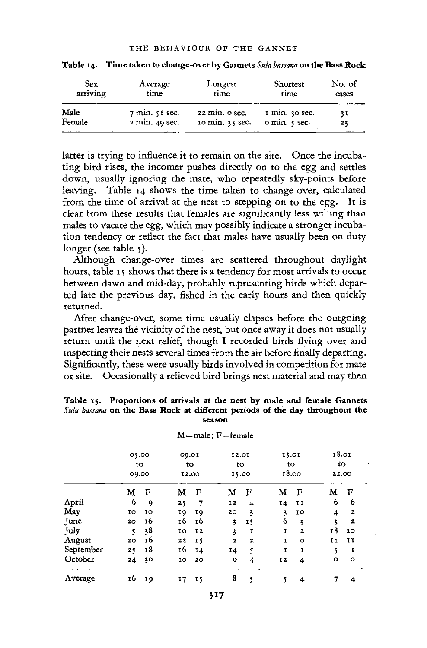| Sex<br>arriving | Average<br>time                   | Longest<br>time | Shortest<br>time           | No. of<br>cases |  |
|-----------------|-----------------------------------|-----------------|----------------------------|-----------------|--|
| Male            | $7 \text{ min. } 58 \text{ sec.}$ | 22 min. o sec.  | $\frac{1}{2}$ min. 30 sec. | 31              |  |
| Female          | 2 min. 49 sec.                    | 10 min. 35 sec. | o min. 5 sec.              | 23              |  |

**Table 14. Time taken to change-over by Gannets** *Sula bassana* **on the Bass Rock** 

latter is trying to influence it to remain on the site. Once the incubating bird rises, the incomer pushes directly on to the egg and settles down, usually ignoring the mate, who repeatedly sky-points before leaving. Table 14 shows the time taken to change-over, calculated from the time of arrival at the nest to stepping on to the egg. It is clear from these results that females are significantly less willing than males to vacate the egg, which may possibly indicate a stronger incubation tendency or reflect the fact that males have usually been on duty longer (see table  $\zeta$ ).

Although change-over times are scattered throughout daylight hours, table 15 shows that there is a tendency for most arrivals to occur between dawn and mid-day, probably representing birds which departed late the previous day, fished in the early hours and then quickly returned.

After change-over, some time usually elapses before the outgoing partner leaves the vicinity of the nest, but once away it does not usually return until the next relief, though I recorded birds flying over and inspecting their nests several times from the air before finally departing. Significantly, these were usually birds involved in competition for mate or site. Occasionally a relieved bird brings nest material and may then

#### **Table 15. Proportions of arrivals at the nest by male and female Gannets**  *Sula bassana* **on the Bass Rock at different periods of the day throughout the season**

| $\lambda$ | 05.00<br>to<br>09.00 |    | 09.01<br>to<br>12.00 |           | 12.01<br>to<br>15.00 |              | 15.01<br>to<br>18.00 |                         | 18.01<br>tΟ<br>22.00 |                         |
|-----------|----------------------|----|----------------------|-----------|----------------------|--------------|----------------------|-------------------------|----------------------|-------------------------|
|           | м                    | F  | М                    | F         | м                    | F            | м                    | F                       | м                    | F                       |
| April     | 6                    | 9  | 25                   | 7         | 12                   | 4            | 14                   | IJ                      | 6                    | 6                       |
| May       | 10                   | 10 | 19                   | 19        | 20                   | 3            | 3                    | 10                      | 4                    | 2                       |
| June      | 20                   | 16 | 16                   | 16        | 3                    | 15           | 6                    | $\overline{\mathbf{3}}$ | 3                    | $\overline{\mathbf{z}}$ |
| July      | 5                    | 38 | 10                   | <b>I2</b> | 3                    | I            | $\mathbf{I}$         | $\overline{\mathbf{2}}$ | 18                   | IO.                     |
| August    | 20                   | 16 | 22                   | IS.       | $\overline{2}$       | $\mathbf{z}$ | I                    | $\circ$                 | H                    | 11                      |
| September | 25                   | 18 | 16                   | 14        | 14                   | s            | I                    | 1                       | 5                    | I                       |
| October   | 24                   | 30 | 10                   | 20        | $\circ$              | 4            | 12                   | 4                       | $\circ$              | $\circ$                 |
| Average   | 16                   | 19 | 17                   | 15        | 8                    | 5            | 5                    | 4                       | 7                    | 4                       |

 $M$ =male;  $F$ =female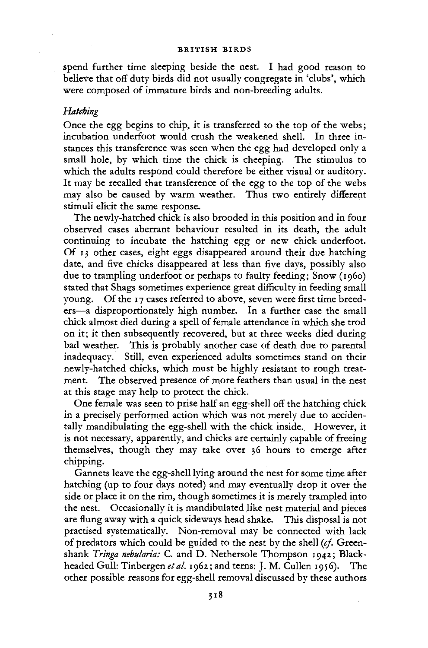spend further time sleeping beside the nest. I had good reason to believe that off duty birds did not usually congregate in 'clubs', which were composed of immature birds and non-breeding adults.

# *Hatching*

Once the egg begins to chip, it is transferred to the top of the webs; incubation underfoot would crush the weakened shell. In three instances this transference was seen when the egg had developed only a small hole, by which time the chick is cheeping. The stimulus to which the adults respond could therefore be either visual or auditory. It may be recalled that transference of the egg to the top of the webs may also be caused by warm weather. Thus two entirely different stimuli elicit the same response.

The newly-hatched chick is also brooded in this position and in four observed cases aberrant behaviour resulted in its death, the adult continuing to incubate the hatching egg or new chick underfoot. Of 13 other cases, eight eggs disappeared around their due hatching date, and five chicks disappeared at less than five days, possibly also due to trampling underfoot or perhaps to faulty feeding; Snow (i960) stated that Shags sometimes experience great difficulty in feeding small young. Of the 17 cases referred to above, seven were first time breeders—a disproportionately high number. In a further case the small chick almost died during a spell of female attendance in which she trod on it; it then subsequently recovered, but at three weeks died during bad weather. This is probably another case of death due to parental inadequacy. Still, even experienced adults sometimes stand on their newly-hatched chicks, which must be highly resistant to rough treatment. The observed presence of more feathers than usual in the nest at this stage may help to protect the chick.

One female was seen to prise half an egg-shell off the hatching chick in a precisely performed action which was not merely due to accidentally mandibulating the egg-shell with the chick inside. However, it is not necessary, apparently, and chicks are certainly capable of freeing themselves, though they may take over 36 hours to emerge after chipping.

Gannets leave the egg-shell lying around the nest for some time after hatching (up to four days noted) and may eventually drop it over the side or place it on the rim, though sometimes it is merely trampled into the nest. Occasionally it is mandibulated like nest material and pieces are flung away with a quick sideways head shake. This disposal is not practised systematically. Non-removal may be connected with lack of predators which could be guided to the nest by the shell *(cf.* Greenshank *Tringa nebularia:* C. and D. Nethersole Thompson 1942; Blackheaded Gull: Tinbergen *eta/.* 1962; and terns: J. M. Cullen 1956). The other possible reasons for egg-shell removal discussed by these authors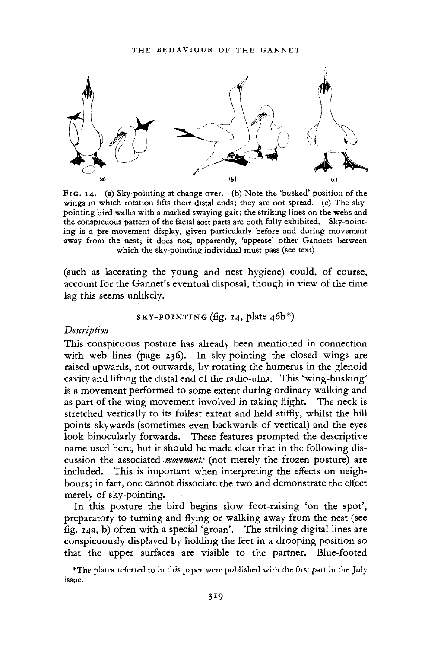

PIG. 14. (a) Sky-pointing at change-over, (b) Note the 'busked' position of the wings in which rotation lifts their distal ends; they are not spread, (c) The skypointing bird walks with a marked swaying gait; the striking lines on the webs and the conspicuous pattern of the facial soft parts are both fully exhibited. Sky-pointing is a pre-movement display, given particularly before and during movement away from the nest; it does not, apparently, 'appease' other Gannets between which the sky-pointing individual must pass (see text)

(such as lacerating the young and nest hygiene) could, of course, account for the Gannet's eventual disposal, though in view of the time lag this seems unlikely.

$$
s_{\text{KY-POINTING}}(fig. 14, plate 46b*)
$$

### *Description*

This conspicuous posture has already been mentioned in connection with web lines (page 236). In sky-pointing the closed wings are raised upwards, not outwards, by rotating the humerus in the glenoid cavity and lifting the distal end of the radio-ulna. This 'wing-busking' is a movement performed to some extent during ordinary walking and as part of the wing movement involved in taking flight. The neck is stretched vertically to its fullest extent and held stiffly, whilst the bill points skywards (sometimes even backwards of vertical) and the eyes look binocularly forwards. These features prompted the descriptive name used here, but it should be made clear that in the following discussion the associated *-movements* (not merely the frozen posture) are included. This is important when interpreting the effects on neighbours ; in fact, one cannot dissociate the two and demonstrate the effect merely of sky-pointing.

In this posture the bird begins slow foot-raising 'on the spot', preparatory to turning and flying or walking away from the nest (see fig. 14a, b) often with a special 'groan'. The striking digital lines are conspicuously displayed by holding the feet in a drooping position so that the upper surfaces are visible to the partner. Blue-footed

\*The plates referred to in this paper were published with the first part in the July issue.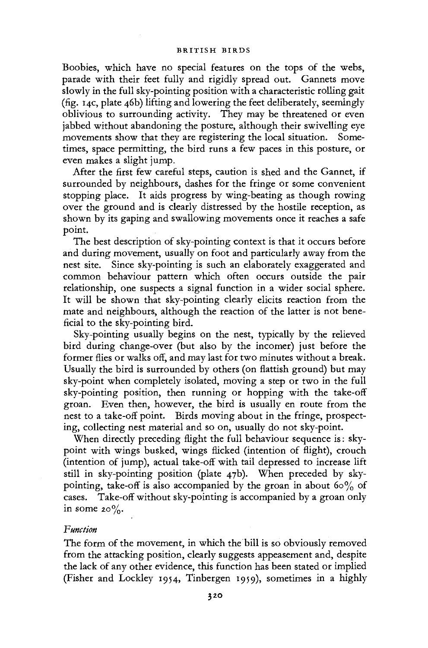Boobies, which have no special features on the tops of the webs, parade with their feet fully and rigidly spread out. Gannets move slowly in the full sky-pointing position with a characteristic rolling gait (fig. 14c, plate 46b) lifting and lowering the feet deliberately, seemingly oblivious to surrounding activity. They may be threatened or even jabbed without abandoning the posture, although their swivelling eye movements show that they are registering the local situation. Sometimes, space permitting, the bird runs a few paces in this posture, or even makes a slight jump.

After the first few careful steps, caution is shed and the Gannet, if surrounded by neighbours, dashes for the fringe or some convenient stopping place. It aids progress by wing-beating as though rowing over the ground and is clearly distressed by the hostile reception, as shown by its gaping and swallowing movements once it reaches a safe point.

The best description of sky-pointing context is that it occurs before and during movement, usually on foot and particularly away from the nest site. Since sky-pointing is such an elaborately exaggerated and common behaviour pattern which often occurs outside the pair relationship, one suspects a signal function in a wider social sphere. It will be shown that sky-pointing clearly elicits reaction from the mate and neighbours, although the reaction of the latter is not beneficial to the sky-pointing bird.

Sky-pointing usually begins on the nest, typically by the relieved bird during change-over (but also by the incomer) just before the former flies or walks off, and may last for two minutes without a break. Usually the bird is surrounded by others (on flattish ground) but may sky-point when completely isolated, moving a step or two in the full sky-pointing position, then running or hopping with the take-off groan. Even then, however, the bird is usually en route from the nest to a take-off point. Birds moving about in the fringe, prospecting, collecting nest material and so on, usually do not sky-point.

When directly preceding flight the full behaviour sequence is: skypoint with wings busked, wings flicked (intention of flight), crouch (intention of jump), actual take-off with tail depressed to increase lift still in sky-pointing position (plate 47b). When preceded by skypointing, take-off is also accompanied by the groan in about 60% of cases. Take-off without sky-pointing is accompanied by a groan only in some  $20\%$ .

# *Function*

The form of the movement, in which the bill is so obviously removed from the attacking position, clearly suggests appeasement and, despite the lack of any other evidence, this function has been stated or implied (Fisher and Lockley 1954, Tinbergen 1959), sometimes in a highly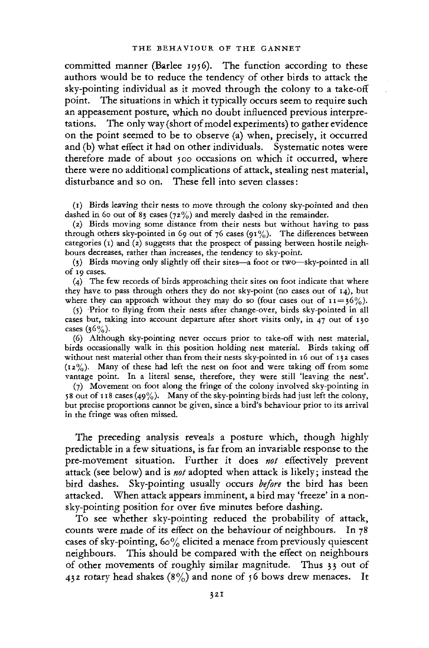committed manner (Barlee 1956). The function according to these authors would be to reduce the tendency of other birds to attack the sky-pointing individual as it moved through the colony to a take-off point. The situations in which it typically occurs seem to require such an appeasement posture, which no doubt influenced previous interpretations. The only way (short of model experiments) to gather evidence on the point seemed to be to observe (a) when, precisely, it occurred and (b) what effect it had on other individuals. Systematic notes were therefore made of about 500 occasions on which it occurred, where there were no additional complications of attack, stealing nest material, disturbance and so on. These fell into seven classes:

(1) Birds leaving their nests to move through the colony sky-pointed and then dashed in 60 out of 83 cases (72%) and merely dashed in the remainder.

(2) Birds moving some distance from their nests but without having to pass through others sky-pointed in 69 out of 76 cases (91%). The differences between categories  $(1)$  and  $(2)$  suggests that the prospect of passing between hostile neighbours decreases, rather than increases, the tendency to sky-point.

(3) Birds moving only slightly off their sites—a foot or two—sky-pointed in all of 19 cases.

(4) The few records of birds approaching their sites on foot indicate that where they have to pass through others they do not sky-point (no cases out of 14), but where they can approach without they may do so (four cases out of  $11 = 36\%$ ).

(5) Prior to flying from their nests after change-over, birds sky-pointed in all cases but, taking into account departure after short visits only, in 47 out of 130 cases  $(36\%)$ .

(6) Although sky-pointing never occurs prior to take-off with nest material, birds occasionally walk in this position holding nest material. Birds taking off without nest material other than from their nests sky-pointed in 16 out of 132 cases  $(12\%)$ . Many of these had left the nest on foot and were taking off from some vantage point. In a literal sense, therefore, they were still 'leaving the nest'.

(7) Movement on foot along the fringe of the colony involved sky-pointing in 58 out of 118 cases (49%). Many of the sky-pointing birds had just left the colony, but precise proportions cannot be given, since a bird's behaviour prior to its arrival in the fringe was often missed.

The preceding analysis reveals a posture which, though highly predictable in a few situations, is far from an invariable response to the pre-movement situation. Further it does *not* effectively prevent attack (see below) and is *not* adopted when attack is likely; instead the bird dashes. Sky-pointing usually occurs *before* the bird has been attacked. When attack appears imminent, a bird may 'freeze' in a nonsky-pointing position for over five minutes before dashing.

To see whether sky-pointing reduced the probability of attack, counts were made of its effect on the behaviour of neighbours. In 78 cases of sky-pointing,  $60\%$  elicited a menace from previously quiescent neighbours. This should be compared with the effect on neighbours of other movements of roughly similar magnitude. Thus 33 out of 432 rotary head shakes  $(8\%)$  and none of 56 bows drew menaces. It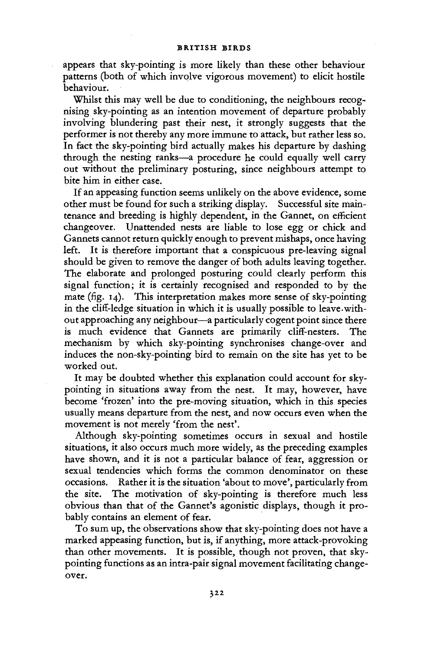appears that sky-pointing is more likely than these other behaviour patterns (both of which involve vigorous movement) to elicit hostile behaviour.

Whilst this may well be due to conditioning, the neighbours recognising sky-pointing as an intention movement of departure probably involving blundering past their nest, it strongly suggests that the performer is not thereby any more immune to attack, but rather less so. In fact the sky-pointing bird actually makes his departure by dashing through the nesting ranks—a procedure he could equally well carry out without the preliminary posturing, since neighbours attempt to bite him in either case.

If an appeasing function seems unlikely on the above evidence, some other must be found for such a striking display. Successful site maintenance and breeding is highly dependent, in the Gannet, on efficient changeover. Unattended nests are liable to lose egg or chick and Gannets cannot return quickly enough to prevent mishaps, once having left. It is therefore important that a conspicuous pre-leaving signal should be given to remove the danger of both adults leaving together. The elaborate and prolonged posturing could clearly perform this signal function; it is certainly recognised and responded to by the mate (fig. 14). This interpretation makes more sense of sky-pointing in the cliff-ledge situation in which it is usually possible to leave without approaching any neighbour—a particularly cogent point since there is much evidence that Gannets are primarily cliff-nesters. The mechanism by which sky-pointing synchronises change-over and induces the non-sky-pointing bird to remain on the site has yet to be worked out.

It may be doubted whether this explanation could account for skypointing in situations away from the nest. It may, however, have become 'frozen' into the pre-moving situation, which in this species usually means departure from the nest, and now occurs even when the movement is not merely 'from the nest'.

Although sky-pointing sometimes occurs in sexual and hostile situations, it also occurs much more widely, as the preceding examples have shown, and it is not a particular balance of fear, aggression or sexual tendencies which forms the common denominator on these occasions. Rather it is the situation 'about to move', particularly from the site. The motivation of sky-pointing is therefore much less obvious than that of the Gannet's agonistic displays, though it probably contains an element of fear.

To sum up, the observations show that sky-pointing does not have a marked appeasing function, but is, if anything, more attack-provoking than other movements. It is possible, though not proven, that skypointing functions as an intra-pair signal movement facilitating changeover.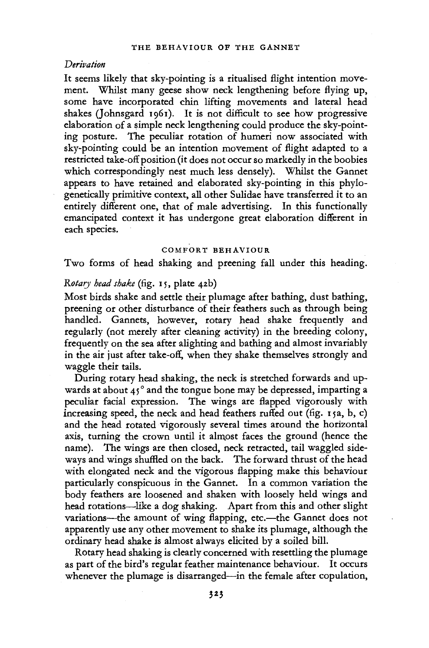### *Derivation*

It seems likely that sky-pointing is a ritualised flight intention movement. Whilst many geese show neck lengthening before flying up, some have incorporated chin lifting movements and lateral head shakes (Johnsgard 1961). It is not difficult to see how progressive elaboration of a simple neck lengthening could produce the sky-pointing posture. The peculiar rotation of humeri now associated with sky-pointing could be an intention movement of flight adapted to a restricted take-off position (it does not occur so markedly in the boobies which correspondingly nest much less densely). Whilst the Gannet appears to have retained and elaborated sky-pointing in this phylogenetically primitive context, all other Sulidae have transferred it to an entirely different one, that of male advertising. In this functionally emancipated context it has undergone great elaboration different in each species.

### **COMFORT BEHAVIOUR**

Two forms of head shaking and preening fall under this heading.

# *Rotary head shake* (fig. 15, plate 42b)

Most birds shake and settle their plumage after bathing, dust bathing, preening or other disturbance of their feathers such as through being handled. Gannets, however, rotary head shake frequently and regularly (not merely after cleaning activity) in the breeding colony, frequently on the sea after alighting and bathing and almost invariably in the air just after take-off, when they shake themselves strongly and waggle their tails.

During rotary head shaking, the neck is stretched forwards and upwards at about  $45^\circ$  and the tongue bone may be depressed, imparting a peculiar facial expression. The wings are flapped vigorously with increasing speed, the neck and head feathers ruffed out (fig. 15a, b, c) and the head rotated vigorously several times around the horizontal axis, turning the crown until it almost faces the ground (hence the name). The wings are then closed, neck retracted, tail waggled sideways and wings shuffled on the back. The forward thrust of the head with elongated neck and the vigorous flapping make this behaviour particularly conspicuous in the Gannet. In a common variation the body feathers are loosened and shaken with loosely held wings and head rotations—like a dog shaking. Apart from this and other slight variations—the amount of wing flapping, etc.—the Gannet does not apparently use any other movement to shake its plumage, although the ordinary head shake is almost always elicited by a soiled bill.

Rotary head shaking is clearly concerned with resettling the plumage as part of the bird's regular feather maintenance behaviour. It occurs whenever the plumage is disarranged—in the female after copulation,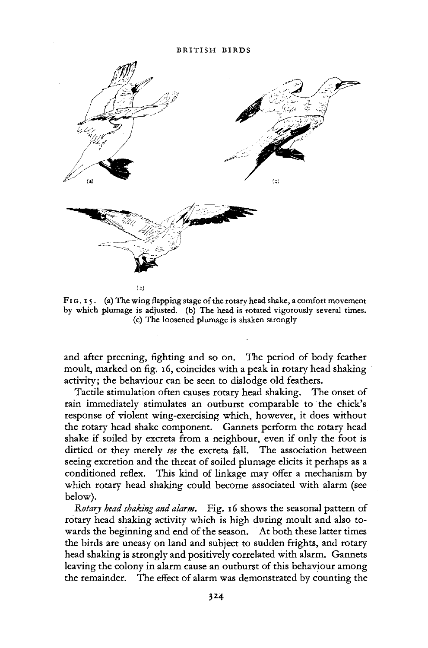

*lb)* 

FIG.  $15.$  (a) The wing flapping stage of the rotary head shake, a comfort movement by which plumage is adjusted, (b) The head is rotated vigorously several times. (c) The loosened plumage is shaken strongly

and after preening, fighting and so on. The period of body feather moult, marked on fig. 16, coincides with a peak in rotary head shaking activity; the behaviour can be seen to dislodge old feathers.

Tactile stimulation often causes rotary head shaking. The onset of rain immediately stimulates an outburst comparable to the chick's response of violent wing-exercising which, however, it does without the rotary head shake component. Gannets perform the rotary head shake if soiled by excreta from a neighbour, even if only the foot is dirtied or they merely *see* the excreta fall. The association between seeing excretion and the threat of soiled plumage elicits it perhaps as a conditioned reflex. This kind of linkage may offer a mechanism by which rotary head shaking could become associated with alarm (see below).

*Rotary head shaking and alarm.* Fig. 16 shows the seasonal pattern of rotary head shaking activity which is high during moult and also towards the beginning and end of the season. At both these latter times the birds are uneasy on land and subject to sudden frights, and rotary head shaking is strongly and positively correlated with alarm. Gannets leaving the colony in alarm cause an outburst of this behaviour among the remainder. The effect of alarm was demonstrated by counting the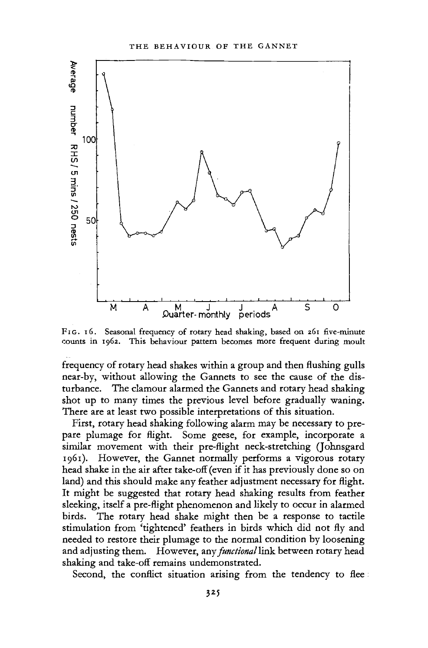

FIG. 16. Seasonal frequency of rotary head shaking, based on 261 five-minute counts in 1962. This behaviour pattern becomes more frequent during moult

frequency of rotary head shakes within a group and then flushing gulls near-by, without allowing the Gannets to see the cause of the disturbance. The clamour alarmed the Gannets and rotary head shaking shot up to many times the previous level before gradually waning. There are at least two possible interpretations of this situation.

First, rotary head shaking following alarm may be necessary to prepare plumage for flight. Some geese, for example, incorporate a similar movement with their pre-flight neck-stretching (Johnsgard 1961). However, the Gannet normally performs a vigorous rotary head shake in the air after take-off (even if it has previously done so on land) and this should make any feather adjustment necessary for flight. It might be suggested that rotary head shaking results from feather sleeking, itself a pre-flight phenomenon and likely to occur in alarmed birds. The rotary head shake might then be a response to tactile stimulation from 'tightened' feathers in birds which did not fly and needed to restore their plumage to the normal condition by loosening and adjusting them. However, any *functional* link between rotary head shaking and take-off remains undemonstrated.

Second, the conflict situation arising from the tendency to flee: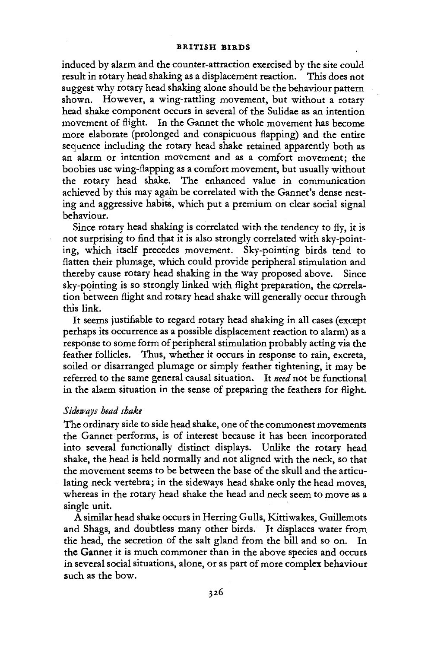induced by alarm and the counter-attraction exercised by the site could result in rotary head shaking as a displacement reaction. This does not suggest why rotary head shaking alone should be the behaviour pattern shown. However, a wing-rattling movement, but without a rotary head shake component occurs in several of the Sulidae as an intention movement of flight. In the Gannet the whole movement has become more elaborate (prolonged and conspicuous flapping) and the entire sequence including the rotary head shake retained apparently both as an alarm or intention movement and as a comfort movement; the boobies use wing-flapping as a comfort movement, but usually without the rotary head shake. The enhanced value in communication achieved by this may again be correlated with the Gannet's dense nesting and aggressive habits, which put a premium on clear social signal behaviour.

Since rotary head shaking is correlated with the tendency to fly, it is not surprising to find that it is also strongly correlated with sky-pointing, which itself precedes movement. Sky-pointing birds tend to flatten their plumage, which could provide peripheral stimulation and thereby cause rotary head shaking in the way proposed above. Since sky-pointing is so strongly linked with flight preparation, the correlation between flight and rotary head shake will generally occur through this link.

It seems justifiable to regard rotary head shaking in all cases (except perhaps its occurrence as a possible displacement reaction to alarm) as a response to some form of peripheral stimulation probably acting via the feather follicles. Thus, whether it occurs in response to rain, excreta, soiled or disarranged plumage or simply feather tightening, it may be referred to the same general causal situation. It *need* not be functional in the alarm situation in the sense of preparing the feathers for flight.

### *Sideways head shake*

The ordinary side to side head shake, one of the commonest movements the Gannet performs, is of interest because it has been incorporated into several functionally distinct displays. Unlike the rotary head shake, the head is held normally and not aligned with the neck, so that the movement seems to be between the base of the skull and the articulating neck vertebra; in the sideways head shake only the head moves, whereas in the rotary head shake the head and neck seem to move as a single unit.

A similar head shake occurs in Herring Gulls, Kittiwakes, Guillemots and Shags, and doubtless many other birds. It displaces water from the head, the secretion of the salt gland from the bill and so on. In the Gannet it is much commoner than in the above species and occurs in several social situations, alone, or as part of more complex behaviour such as the bow.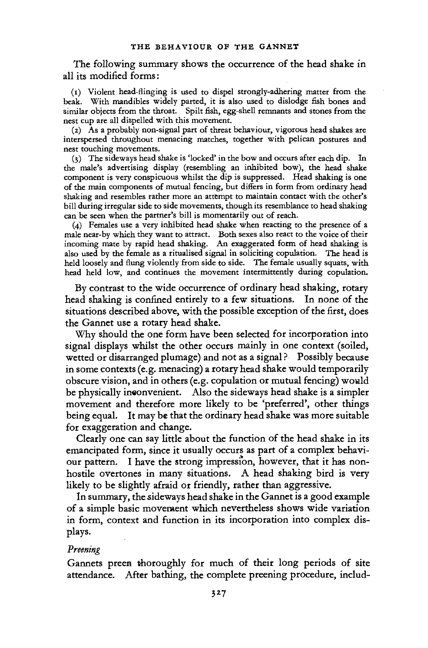The following summary shows the occurrence of the head shake in all its modified forms:

(i) Violent head-flinging is used to dispel strongly-adhering matter from the beak. With mandibles widely parted, it is also used to dislodge fish bones and similar objects from the throat. Spilt fish, egg-shell remnants and stones from the nest cup are all dispelled with this movement.

(2) As a probably non-signal part of threat behaviour, vigorous head shakes are interspersed throughout menacing matches, together with pelican postures and nest touching movements.

(3) The sideways head shake is 'locked' in the bow and occurs after each dip. In the male's advertising display (resembling an inhibited bow), the head shake component is very conspicuous whilst the dip is suppressed. Head shaking is one of the main components of mutual fencing, but differs in form from ordinary head shaking and resembles rather more an attempt to maintain contact with the other's bill during irregular side to side movements, though its resemblance to head shaking can be seen when the partner's bill is momentarily out of reach.

(4) Females use a very inhibited head shake when reacting to the presence of a male near-by which they want to attract. Both sexes also react to the voice of their incoming mate by rapid head shaking. An exaggerated form of head shaking is also used by the female as a ritualised signal in soliciting copulation. The head is held loosely and flung violently from side to side. The female usually squats, with head held low, and continues the movement intermittently during copulation.

By contrast to the wide occurrence of ordinary head shaking, rotary head shaking is confined entirely to a few situations. In none of the situations described above, with the possible exception of the first, does the Gannet use a rotary head shake.

Why should the one form have been selected for incorporation into signal displays whilst the other occurs mainly in one context (soiled, wetted or disarranged plumage) and not as a signal ? Possibly because in some contexts (e.g. menacing) a rotary head shake would temporarily obscure vision, and in others (e.g. copulation or mutual fencing) would be physically inconvenient. Also the sideways head shake is a simpler movement and therefore more likely to be 'preferred', other things being equal. It may be that the ordinary head shake was more suitable for exaggeration and change.

Clearly one can say little about the function of the head shake in its emancipated form, since it usually occurs as part of a complex behaviour pattern. I have the strong impression, however, that it has nonhostile overtones in many situations. A head shaking bird is very likely to be slightly afraid or friendly, rather than aggressive.

In summary, the sideways head shake in the Gannet is a good example of a simple basic movement which nevertheless shows wide variation in form, context and function in its incorporation into complex displays.

### *Preening*

Gannets preen thoroughly for much of their long periods of site attendance. After bathing, the complete preening procedure, includ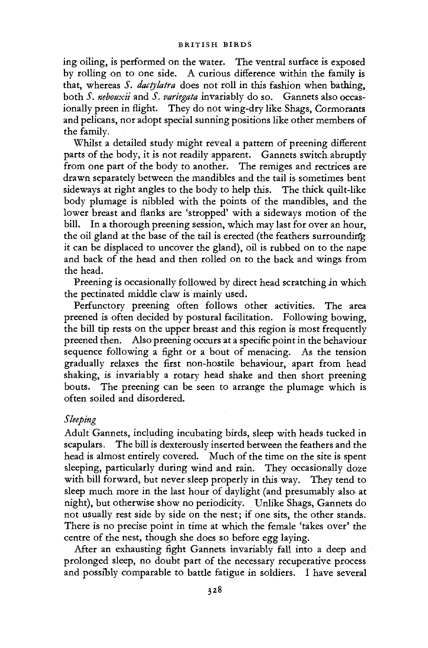ing oiling, is performed on the water. The ventral surface is exposed by rolling on to one side. A curious difference within the family is that, whereas *S. dactylatra* does not roll in this fashion when bathing, both *S. nebouxii* and *S. variegata* invariably do so. Gannets also occasionally preen in flight. They do not wing-dry like Shags, Cormorants and pelicans, nor adopt special sunning positions like other members of the family.

Whilst a detailed study might reveal a pattern of preening different parts of the body, it is not readily apparent. Gannets switch abruptly from one part of the body to another. The remiges and rectrices are drawn separately between the mandibles and the tail is sometimes bent sideways at right angles to the body to help this. The thick quilt-like body plumage is nibbled with the points of the mandibles, and the lower breast and flanks are 'stropped' with a sideways motion of the bill. In a thorough preening session, which may last for over an hour, the oil gland at the base of the tail is erected (the feathers surrounding it can be displaced to uncover the gland), oil is rubbed on to the nape and back of the head and then rolled on to the back and wings from the head.

Preening is occasionally followed by direct head scratching in which the pectinated middle claw is mainly used.

Perfunctory preening often follows other activities. The area preened is often decided by postural facilitation. Following bowing, the bill tip rests on the upper breast and this region is most frequently preened then. Also preening occurs at a specific point in the behaviour sequence following a fight or a bout of menacing. As the tension gradually relaxes the first non-hostile behaviour, apart from head shaking, is invariably a rotary head shake and then short preening bouts. The preening can be seen to arrange the plumage which is often soiled and disordered.

# *Sleeping*

Adult Gannets, including incubating birds, sleep with heads tucked in scapulars. The bill is dexterously inserted between the feathers and the head is almost entirely covered. Much of the time on the site is spent sleeping, particularly during wind and rain. They occasionally doze with bill forward, but never sleep properly in this way. They tend to sleep much more in the last hour of daylight (and presumably also at night), but otherwise show no periodicity. Unlike Shags, Gannets do not usually rest side by side on the nest; if one sits, the other stands. There is no precise point in time at which the female 'takes over' the centre of the nest, though she does so before egg laying.

After an exhausting fight Gannets invariably fall into a deep and prolonged sleep, no doubt part of the necessary recuperative process and possibly comparable to battle fatigue in soldiers. I have several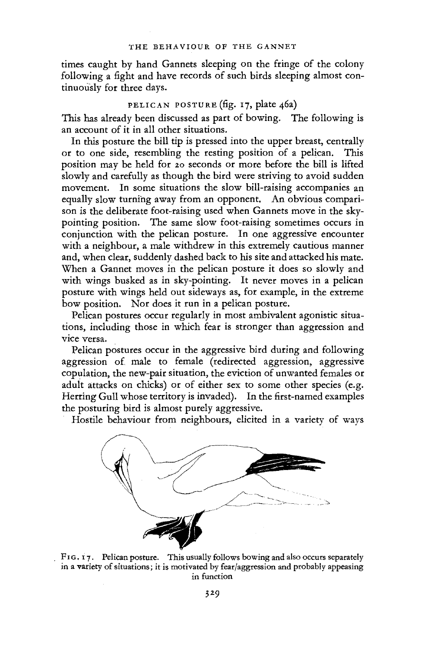times caught by hand Gannets sleeping on the fringe of the colony following a fight and have records of such birds sleeping almost continuously for three days.

# PELICAN POSTURE (fig. 17, plate 46a)

This has already been discussed as part of bowing. The following is an account of it in all other situations.

In this posture the bill tip is pressed into the upper breast, centrally or to one side, resembling the resting position of a pelican. This position may be held for 20 seconds or more before the bill is lifted slowly and carefully as though the bird were striving to avoid sudden movement. In some situations the slow bill-raising accompanies an equally slow turning away from an opponent. An obvious comparison is the deliberate foot-raising used when Gannets move in the skypointing position. The same slow foot-raising sometimes occurs in conjunction with the pelican posture. In one aggressive encounter with a neighbour, a male withdrew in this extremely cautious manner and, when clear, suddenly dashed back to his site and attacked his mate. When a Gannet moves in the pelican posture it does so slowly and with wings busked as in sky-pointing. It never moves in a pelican posture with wings held out sideways as, for example, in the extreme bow position. Nor does it run in a pelican posture.

Pelican postures occur regularly in most ambivalent agonistic situations, including those in which fear is stronger than aggression and vice versa.

Pelican postures occur in the aggressive bird during and following aggression of male to female (redirected aggression, aggressive copulation, the new-pair situation, the eviction of unwanted females or adult attacks on chicks) or of either sex to some other species (e.g. Herring Gull whose territory is invaded). In the first-named examples the posturing bird is almost purely aggressive.

Hostile behaviour from neighbours, elicited in a variety of ways



FIG. 17. Pelican posture. This usually follows bowing and also occurs separately in a variety of situations; it is motivated by fear/aggression and probably appeasing in function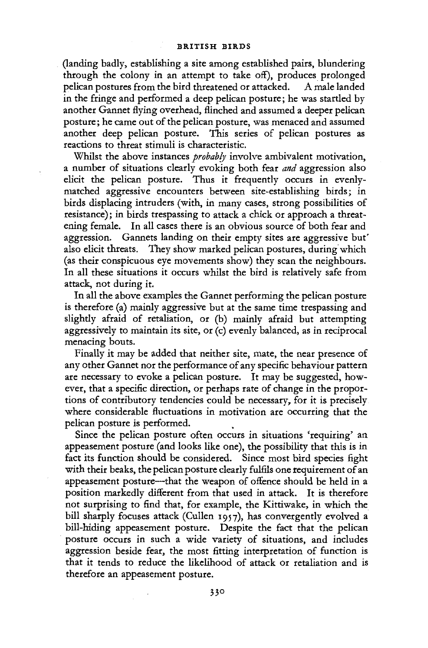(landing badly, establishing a site among established pairs, blundering through the colony in an attempt to take off), produces prolonged pelican postures from the bird threatened or attacked. A male landed in the fringe and performed a deep pelican posture; he was startled by another Gannet flying overhead, flinched and assumed a deeper pelican posture; he came out of the pelican posture, was menaced and assumed another deep pelican posture. This series of pelican postures as reactions to threat stimuli is characteristic.

Whilst the above instances *probably* involve ambivalent motivation, a number of situations clearly evoking both fear *and* aggression also elicit the pelican posture. Thus it frequently occurs in evenlymatched aggressive encounters between site-establishing birds; in birds displacing intruders (with, in many cases, strong possibilities of resistance); in birds trespassing to attack a chick or approach a threatening female. In all cases there is an obvious source of both fear and aggression. Gannets landing on their empty sites are aggressive but' also elicit threats. They show marked pelican postures, during which (as their conspicuous eye movements show) they scan the neighbours. In all these situations it occurs whilst the bird is relatively safe from attack, not during it.

In all the above examples the Gannet performing the pelican posture is therefore (a) mainly aggressive but at the same time trespassing and slighdy afraid of retaliation, or (b) mainly afraid but attempting aggressively to maintain its site, or (c) evenly balanced, as in reciprocal menacing bouts.

Finally it may be added that neither site, mate, the near presence of any other Gannet nor the performance of any specific behaviour pattern are necessary to evoke a pelican posture. It may be suggested, however, that a specific direction, or perhaps rate of change in the proportions of contributory tendencies could be necessary, for it is precisely where considerable fluctuations in motivation are occurring that the pelican posture is performed.

Since the pelican posture often occurs in situations 'requiring' an appeasement posture (and looks like one), the possibility that this is in fact its function should be considered. Since most bird species fight with their beaks, the pelican posture clearly fulfils one requirement of an appeasement posture—that the weapon of offence should be held in a position markedly different from that used in attack. It is therefore not surprising to find that, for example, the Kittiwake, in which the bill sharply focuses attack (Cullen 1957), has convergently evolved a bill-hiding appeasement posture. Despite the fact that the pelican posture occurs in such a wide variety of situations, and includes aggression beside fear, the most fitting interpretation of function is that it tends to reduce the likelihood of attack or retaliation and is therefore an appeasement posture.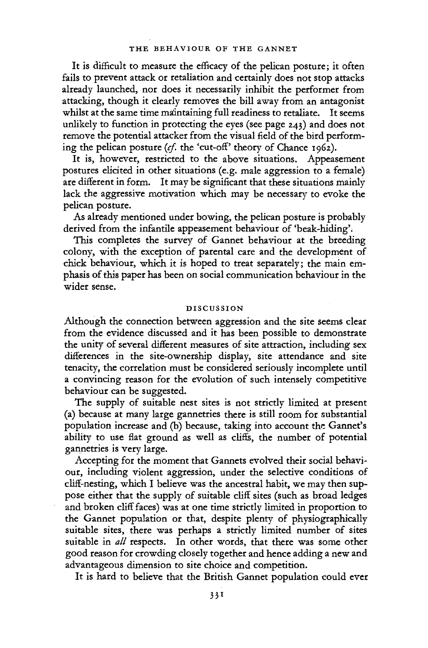It is difficult to measure the efficacy of the pelican posture; it often fails to prevent attack or retaliation and certainly does not stop attacks already launched, nor does it necessarily inhibit the performer from attacking, though it clearly removes the bill away from an antagonist whilst at the same time maintaining full readiness to retaliate. It seems unlikely to function in protecting the eyes (see page 243) and does not remove the potential attacker from the visual field of the bird performing the pelican posture *(cf.* the 'cut-off' theory of Chance 1962).

It is, however, restricted to the above situations. Appeasement postures elicited in other situations (e.g. male aggression to a female) are different in form. It may be significant that these situations mainly lack the aggressive motivation which may be necessary to evoke the pelican posture.

As already mentioned under bowing, the pelican posture is probably derived from the infantile appeasement behaviour of 'beak-hiding'.

This completes the survey of Gannet behaviour at the breeding colony, with the exception of parental care and the development of chick behaviour, which it is hoped to treat separately; the main emphasis of this paper has been on social communication behaviour in the wider sense.

### DISCUSSION

Although the connection between aggression and the site seems clear from the evidence discussed and it has been possible to demonstrate the unity of several different measures of site attraction, including sex differences in the site-ownership display, site attendance and site tenacity, the correlation must be considered seriously incomplete until a convincing reason for the evolution of such intensely competitive behaviour can be suggested.

The supply of suitable nest sites is not strictly limited at present (a) because at many large gannetries there is still room for substantial population increase and (b) because, taking into account the Gannet's ability to use flat ground as well as cliffs, the number of potential gannetries is very large.

Accepting for the moment that Gannets evolved their social behaviour, including violent aggression, under the selective conditions of cliff-nesting, which I believe was the ancestral habit, we may then suppose either that the supply of suitable cliff sites (such as broad ledges and broken cliff faces) was at one time strictly limited in proportion to the Gannet population or that, despite plenty of physiographically suitable sites, there was perhaps a strictly limited number of sites suitable in *all* respects. In other words, that there was some other good reason for crowding closely together and hence adding a new and advantageous dimension to site choice and competition.

It is hard to believe that the British Gannet population could ever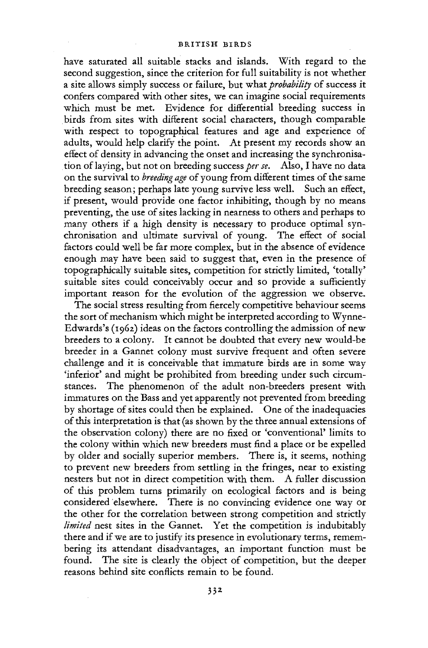have saturated all suitable stacks and islands. With regard to the second suggestion, since the criterion for full suitability is not whether a site allows simply success or failure, but what *probability* of success it confers compared with other sites, we can imagine social requirements which must be met. Evidence for differential breeding success in birds from sites with different social characters, though comparable with respect to topographical features and age and experience of adults, would help clarify the point. At present my records show an effect of density in advancing the onset and increasing the synchronisation of laying, but not on breeding success *per se.* Also, I have no data on the survival to *breeding age* of young from different times of the same breeding season; perhaps late young survive less well. Such an effect, if present, would provide one factor inhibiting, though by no means preventing, the use of sites lacking in nearness to others and perhaps to many others if a high density is necessary to produce optimal synchronisation and ultimate survival of young. The effect of social factors could well be far more complex, but in the absence of evidence enough may have been said to suggest that, even in the presence of topographically suitable sites, competition for strictly limited, 'totally' suitable sites could conceivably occur and so provide a sufficiently important reason for the evolution of the aggression we observe.

The social stress resulting from fiercely competitive behaviour seems the sort of mechanism which might be interpreted according to Wynne-Edwards's (1962) ideas on the factors controlling the admission of new breeders to a colony. It cannot be doubted that every new would-be breeder in a Gannet colony must survive frequent and often severe challenge and it is conceivable that immature birds are in some way 'inferior' and might be prohibited from breeding under such circumstances. The phenomenon of the adult non-breeders present with immatures on the Bass and yet apparently not prevented from breeding by shortage of sites could then be explained. One of the inadequacies of this interpretation is that (as shown by the three annual extensions of the observation colony) there are no fixed or 'conventional' limits to the colony within which new breeders must find a place or be expelled by older and socially superior members. There is, it seems, nothing to prevent new breeders from settling in the fringes, near to existing nesters but not in direct competition with them. A fuller discussion of this problem turns primarily on ecological factors and is being considered elsewhere. There is no convincing evidence one way or the other for the correlation between strong competition and strictly *limited* nest sites in the Gannet. Yet the competition is indubitably there and if we are to justify its presence in evolutionary terms, remembering its attendant disadvantages, an important function must be found. The site is clearly the object of competition, but the deeper reasons behind site conflicts remain to be found.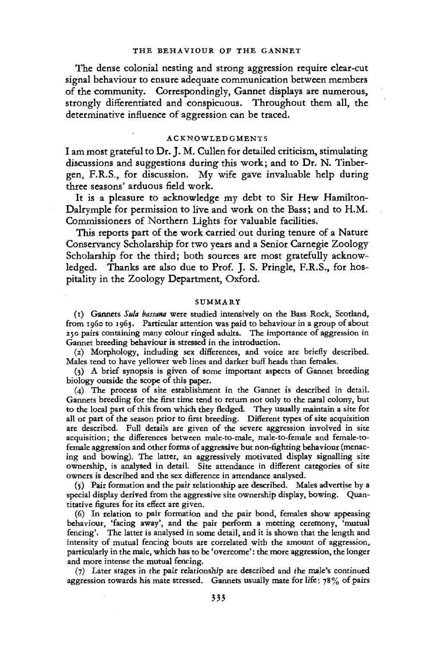The dense colonial nesting and strong aggression require clear-cut signal behaviour to ensure adequate communication between members of the community. Correspondingly, Gannet displays are numerous, strongly differentiated and conspicuous. Throughout them all, the determinative influence of aggression can be traced.

# ACKNOWLEDGMENTS

I am most grateful to Dr. J. M. Cullen for detailed criticism, stimulating discussions and suggestions during this work; and to Dr. N. Tinbergen, F.R.S., for discussion. My wife gave invaluable help during three seasons' arduous field work.

It is a pleasure to acknowledge my debt to Sir Hew Hamilton-Dalrymple for permission to live and work on the Bass; and to H.M. Commissioners of Northern Lights for valuable facilities.

This reports part of the work carried out during tenure of a Nature Conservancy Scholarship for two years and a Senior Carnegie Zoology Scholarship for the third; both sources are most gratefully acknowledged. Thanks are also due to Prof. J. S. Pringle, F.R.S., for hospitality in the Zoology Department, Oxford.

#### SUMMARY

(i) Gannets *Sula bassana* were studied intensively on the Bass Rock, Scotland, from i960 to 1963. Particular attention was paid to behaviour in a group of about 250 pairs containing many colour ringed adults. The importance of aggression in Gannet breeding behaviour is stressed in the introduction.

(2) Morphology, including sex differences, and voice are briefly described. Males tend to have yellower web lines and darker buff heads than females.

(3) A brief synopsis is given of some important aspects of Gannet breeding biology outside the scope of this paper.

(4) The process of site establishment in the Gannet is described in detail. Gannets breeding for the first time tend to return not only to the natal colony, but to the local part of this from which they fledged. They usually maintain a site for all or part of the season prior to first breeding. Different types of site acquisition are described. Full details are given of the severe aggression involved in site acquisition; the differences between male-to-male, male-to-female and female-tofemale aggression and other forms of aggressive but non-fighting behaviour (menacing and bowing). The latter, an aggressively motivated display signalling site ownership, is analysed in detail. Site attendance in different categories of site owners is described and the sex difference in attendance analysed.

(5) Pair formation and the pair relationship are described. Males advertise by a special display derived from the aggressive site ownership display, bowing. Quantitative figures for its effect are given.

(6) In relation to pair formation and the pair bond, females show appeasing behaviour, 'facing away', and the pair perform a meeting ceremony, 'mutual fencing'. The latter is analysed in some detail, and it is shown that the length and intensity of mutual fencing bouts are correlated with the amount of aggression, particularly in the male, which has to be 'overcome': the more aggression, the longer and more intense the mutual fencing.

(7) Later stages in the pair relationship are described and the male's continued aggression towards his mate stressed. Gannets usually mate for life:  $78\%$  of pairs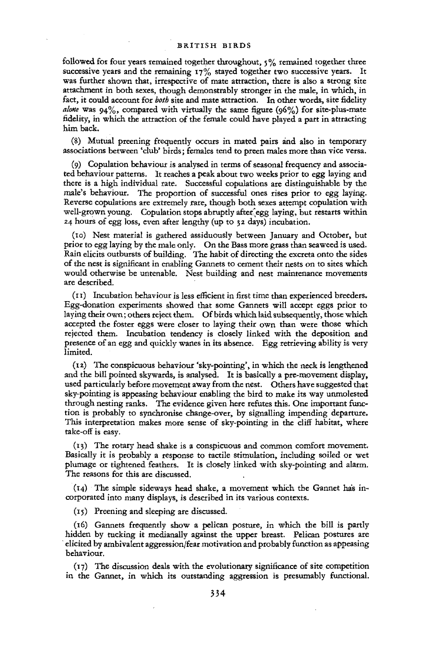followed for four years remained together throughout,  $5\%$  remained together three successive years and the remaining  $17\%$  stayed together two successive years. It was further shown that, irrespective of mate attraction, there is also a strong site attachment in both sexes, though demonstrably stronger in the male, in which, in fact, it could account for *both* site and mate attraction. In other words, site fidelity *alone* was 94%, compared with virtually the same figure (96%) for site-plus-mate fidelity, in which the attraction of the female could have played a part in attracting him back,

(8) Mutual preening frequently occurs in mated pairs and also in temporary associations between 'club' birds; females tend to preen males more than vice versa.

(9) Copulation behaviour is analysed in terms of seasonal frequency and associated behaviour patterns. It reaches a peak about two weeks prior to egg laying and there is a high individual rate. Successful copulations are distinguishable by the male's behaviour. The proportion of successful ones rises prior to egg laying. Reverse copulations are extremely rare, though both sexes attempt copulation with well-grown young. Copulation stops abruptly after'egg laying, but restarts within 24 hours of egg loss, even after lengthy (up to 32 days) incubation.

(to) Nest material is gathered assiduously between January and October, but prior to egg laying by the male only. On the Bass more grass than seaweed is used. Rain elicits outbursts of building. The habit of directing the excreta onto the sides of the nest is significant in enabling Gannets to cement their nests on to sites which would otherwise be untenable. Nest building and nest maintenance movements are described.

(11) Incubation behaviour is less efficient in first time than experienced breeders. Egg-donation experiments showed that some Gannets will accept eggs prior to laying their own; others reject them. Of birds which laid subsequently, those which accepted the foster eggs were closer to laying their own than were those which rejected them. Incubation tendency is closely linked with the deposition and presence of an egg and quickly wanes in its absence. Egg retrieving ability is very limited.

(12) The conspicuous behaviour 'sky-pointing', in which the neck is lengthened and the bill pointed skywards, is analysed. It is basically a pre-movement display, used particularly before movement away from the nest. Others have suggested that sky-pointing is appeasing behaviour enabling the bird to make its way unmolested through nesting ranks. The evidence given here refutes this. One important function is probably to synchronise change-over, by signalling impending departure. This interpretation makes more sense of sky-pointing in the cliff habitat, where take-off is easy.

(13) The rotary head shake is a conspicuous and common comfort movement. Basically it is probably a response to tactile stimulation, including soiled or wet plumage or tightened feathers. It is closely linked with sky-pointing and alarm. The reasons for this are discussed,

(14) The simple sideways head shake, a movement which the Gannet has incorporated into many displays, is described in its various contexts.

(15) Preening and sleeping are discussed.

(16) Gannets frequently show a pelican posture, in which the bill is partly hidden by tucking it medianally against the upper breast. Pelican postures are elicited by ambivalent aggression/fear motivation and probably function as appeasing behaviour.

(17) The discussion deals with the evolutionary significance of site competition in the Gannet, in which its outstanding aggression is presumably functional.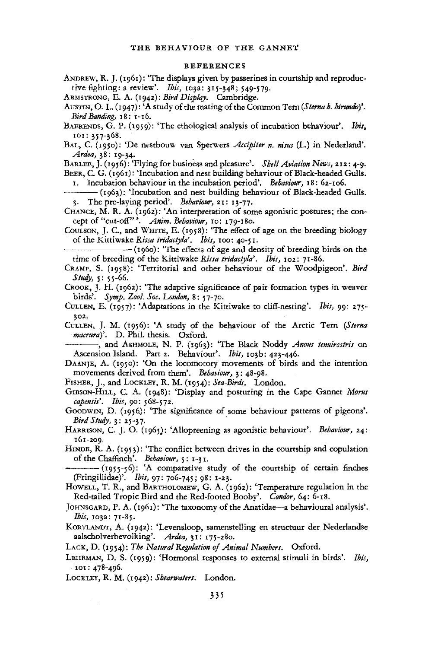#### REFERENCES

ANDREW, R. J. (1961): 'The displays given by passerines in courtship and reproductive fighting: a review'. *Ibis,* 103a: 315-548; 549-579.

ARMSTRONG, E. A, (1942): *Bird Display.* Cambridge.

- AUSTIN, O. L. (1947): 'A study of the mating of the Common Tern (Sterna b. hirundo)'. *Bird Banding,* 18: 1-16.
- BAERENDS, G. P. (1959): 'The ethological analysis of incubation behaviour". *Ibis,*  101:357-368.
- BAL, C. (1950): 'De nestbouw van Sperwers *Accipiter n. nisus* (L.) in Nederland'. *Ardea,* 38: 19-34.

BARLEE, J. (1956): 'Flying for business and pleasure'. Shell Aviation News, 212: 4-9. BEER, C. G. (1961): 'Incubation and nest building behaviour of Black-headed Gulls.

1. Incubation behaviour in the incubation period'. *Behaviour,* 18: 62-106.

- (1963): 'Incubation and nest building behaviour of Black-headed Gulls. 3. The pre-laying period'. *Behaviour,* 21: 13-77.
- CHANCE, M. R. A. (1962): 'An interpretation of some agonistic postures; the concept of "cut-off" \*. *Anim. Behaviour,* 10: 179-180.
- COOLSON, J. C, and WHITE, E. (1958): 'The effect of age on the breeding biology of the Kittiwake *Rissa tridactyla'. Ibis,* 100: 40-51.

• — (1960): 'The effects of age and density of breeding birds on the time of breeding of the Kittiwake *Rissa tridactyla'. Ibis,* 102: 71-86.

CRAMP, S. (1958): 'Territorial and other behaviour of the Woodpigeon'. *Bird Study,* 5: 55-66.

CROOK, J. H.  $(1962)$ : 'The adaptive significance of pair formation types in weaver birds'. *Symp. Zool. Soc. London,* 8: 57-70.

- CUIXEN, E. (1957): 'Adaptations in the Kittiwake to cliff-nesting'. *Ibis,* 99: 275- 302.
- CULLEN, J. M. (1956): 'A study of the behaviour of the Arctic Tern *{Sterna macrura}'.* D. Phil, thesis. Oxford.

— •, and ASHMOLE, N. P. (1963): 'The Black Noddy *Anous tenuirostris* on Ascension Island. Part 2. Behaviour'. Ibis, 103b: 423-446.

DAANJE, A. (1950): 'On the locomotory movements of birds and the intention movements derived from them'. *Behaviour,* 3: 48-98,

FISHER, J., and LOCKLEY, R. M. (1954): *Sea-Birds.* London.

GIBSON-HILL, C. A. (1948): 'Display and posturing in the Cape Gannet *Morus capensis'. Ibis,* 90: 568-572.

GOODWIN, D. (1956): 'The significance of some behaviour patterns of pigeons\*. *Bird Study,* 3: 25-37.

HARRISON, C. J. O. (1965): 'Allopreening as agonistic behaviour'. Behaviour, 24: 161-209.

HINDE, R. A. (1953): 'The conflict between drives in the courtship and copulation of the Chaffinch'. *Behaviour,* 5: 1-31.

— (<sup>I</sup> 955"56): 'A comparative study of the courtship of certain finches (Fringillidae)'. *Ibis,* 97: 706-745; 98: 1-23.

HOWELL, T. R., and BARTHOLOMEW, G. A. (1962): 'Temperature regulation in the Red-tailed Tropic Bird and the Red-footed Booby". *Condor,* 64: 6-18.

- JOHNSGARD, P. A. (1961): 'The taxonomy of the Anatidae—a behavioural analysis'. *Ibis,* 103a: 71-85.
- KORTLANDT, A. (1942): 'Levensloop, samenstelling en structuur der Nederlandse aalscholverbevolking\*. *Ardea,* 31: 175-280.

LACK, D. (1954): *The Natural Regulation of Animal Numbers.* Oxford.

LEHRMAN, D. S. (1959): 'Hormonal responses to external stimuli in birds'. *Ibis,*  101: 478-496.

LOCKXEY, R. M. (1942): *Shearwaters.* London.